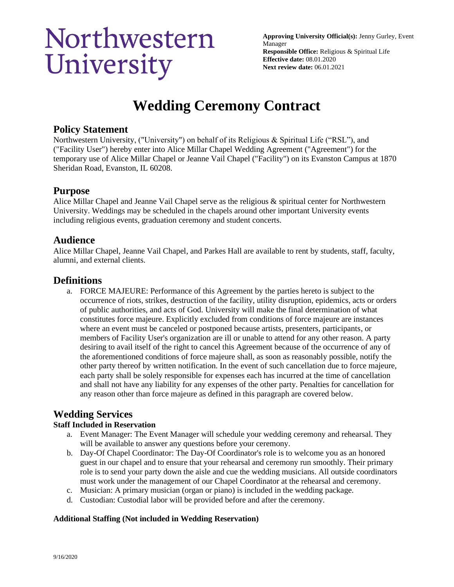# Northwestern University

**Approving University Official(s):** Jenny Gurley, Event Manager **Responsible Office:** Religious & Spiritual Life **Effective date:** 08.01.2020 **Next review date:** 06.01.2021

## **Wedding Ceremony Contract**

## **Policy Statement**

Northwestern University, ("University") on behalf of its Religious & Spiritual Life ("RSL"), and ("Facility User") hereby enter into Alice Millar Chapel Wedding Agreement ("Agreement") for the temporary use of Alice Millar Chapel or Jeanne Vail Chapel ("Facility") on its Evanston Campus at 1870 Sheridan Road, Evanston, IL 60208.

## **Purpose**

Alice Millar Chapel and Jeanne Vail Chapel serve as the religious & spiritual center for Northwestern University. Weddings may be scheduled in the chapels around other important University events including religious events, graduation ceremony and student concerts.

## **Audience**

Alice Millar Chapel, Jeanne Vail Chapel, and Parkes Hall are available to rent by students, staff, faculty, alumni, and external clients.

## **Definitions**

a. FORCE MAJEURE: Performance of this Agreement by the parties hereto is subject to the occurrence of riots, strikes, destruction of the facility, utility disruption, epidemics, acts or orders of public authorities, and acts of God. University will make the final determination of what constitutes force majeure. Explicitly excluded from conditions of force majeure are instances where an event must be canceled or postponed because artists, presenters, participants, or members of Facility User's organization are ill or unable to attend for any other reason. A party desiring to avail itself of the right to cancel this Agreement because of the occurrence of any of the aforementioned conditions of force majeure shall, as soon as reasonably possible, notify the other party thereof by written notification. In the event of such cancellation due to force majeure, each party shall be solely responsible for expenses each has incurred at the time of cancellation and shall not have any liability for any expenses of the other party. Penalties for cancellation for any reason other than force majeure as defined in this paragraph are covered below.

## **Wedding Services**

#### **Staff Included in Reservation**

- a. Event Manager: The Event Manager will schedule your wedding ceremony and rehearsal. They will be available to answer any questions before your ceremony.
- b. Day-Of Chapel Coordinator: The Day-Of Coordinator's role is to welcome you as an honored guest in our chapel and to ensure that your rehearsal and ceremony run smoothly. Their primary role is to send your party down the aisle and cue the wedding musicians. All outside coordinators must work under the management of our Chapel Coordinator at the rehearsal and ceremony.
- c. Musician: A primary musician (organ or piano) is included in the wedding package.
- d. Custodian: Custodial labor will be provided before and after the ceremony.

#### **Additional Staffing (Not included in Wedding Reservation)**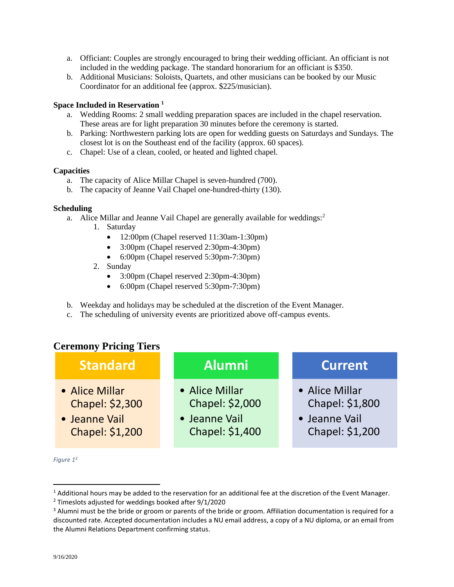- a. Officiant: Couples are strongly encouraged to bring their wedding officiant. An officiant is not included in the wedding package. The standard honorarium for an officiant is \$350.
- b. Additional Musicians: Soloists, Quartets, and other musicians can be booked by our Music Coordinator for an additional fee (approx. \$225/musician).

#### **Space Included in Reservation <sup>1</sup>**

- a. Wedding Rooms: 2 small wedding preparation spaces are included in the chapel reservation. These areas are for light preparation 30 minutes before the ceremony is started.
- b. Parking: Northwestern parking lots are open for wedding guests on Saturdays and Sundays. The closest lot is on the Southeast end of the facility (approx. 60 spaces).
- c. Chapel: Use of a clean, cooled, or heated and lighted chapel.

#### **Capacities**

- a. The capacity of Alice Millar Chapel is seven-hundred (700).
- b. The capacity of Jeanne Vail Chapel one-hundred-thirty (130).

#### **Scheduling**

- a. Alice Millar and Jeanne Vail Chapel are generally available for weddings:<sup>2</sup>
	- 1. Saturday
		- 12:00pm (Chapel reserved 11:30am-1:30pm)
		- 3:00pm (Chapel reserved 2:30pm-4:30pm)
		- 6:00pm (Chapel reserved 5:30pm-7:30pm)
	- 2. Sunday
		- 3:00pm (Chapel reserved 2:30pm-4:30pm)
		- 6:00pm (Chapel reserved 5:30pm-7:30pm)
- b. Weekday and holidays may be scheduled at the discretion of the Event Manager.
- c. The scheduling of university events are prioritized above off-campus events.

## **Ceremony Pricing Tiers**



*Figure 1 3*

 $1$  Additional hours may be added to the reservation for an additional fee at the discretion of the Event Manager.

 $2$  Timeslots adjusted for weddings booked after 9/1/2020

<sup>&</sup>lt;sup>3</sup> Alumni must be the bride or groom or parents of the bride or groom. Affiliation documentation is required for a discounted rate. Accepted documentation includes a NU email address, a copy of a NU diploma, or an email from the Alumni Relations Department confirming status.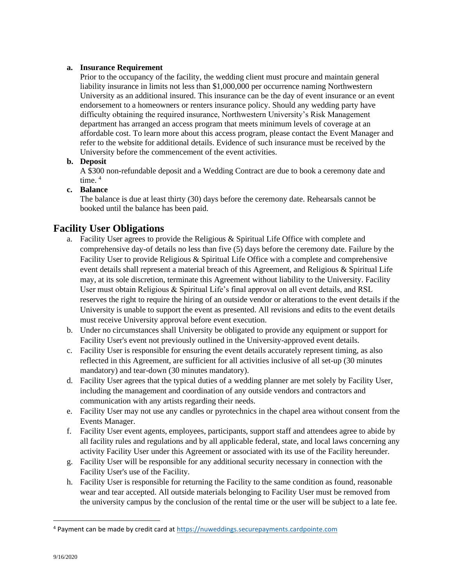#### **a. Insurance Requirement**

Prior to the occupancy of the facility, the wedding client must procure and maintain general liability insurance in limits not less than \$1,000,000 per occurrence naming Northwestern University as an additional insured. This insurance can be the day of event insurance or an event endorsement to a homeowners or renters insurance policy. Should any wedding party have difficulty obtaining the required insurance, Northwestern University's Risk Management department has arranged an access program that meets minimum levels of coverage at an affordable cost. To learn more about this access program, please contact the Event Manager and refer to the website for additional details. Evidence of such insurance must be received by the University before the commencement of the event activities.

#### **b. Deposit**

A \$300 non-refundable deposit and a Wedding Contract are due to book a ceremony date and time.  $4$ 

#### **c. Balance**

The balance is due at least thirty (30) days before the ceremony date. Rehearsals cannot be booked until the balance has been paid.

## **Facility User Obligations**

- a. Facility User agrees to provide the Religious & Spiritual Life Office with complete and comprehensive day-of details no less than five (5) days before the ceremony date. Failure by the Facility User to provide Religious & Spiritual Life Office with a complete and comprehensive event details shall represent a material breach of this Agreement, and Religious & Spiritual Life may, at its sole discretion, terminate this Agreement without liability to the University. Facility User must obtain Religious & Spiritual Life's final approval on all event details, and RSL reserves the right to require the hiring of an outside vendor or alterations to the event details if the University is unable to support the event as presented. All revisions and edits to the event details must receive University approval before event execution.
- b. Under no circumstances shall University be obligated to provide any equipment or support for Facility User's event not previously outlined in the University-approved event details.
- c. Facility User is responsible for ensuring the event details accurately represent timing, as also reflected in this Agreement, are sufficient for all activities inclusive of all set-up (30 minutes mandatory) and tear-down (30 minutes mandatory).
- d. Facility User agrees that the typical duties of a wedding planner are met solely by Facility User, including the management and coordination of any outside vendors and contractors and communication with any artists regarding their needs.
- e. Facility User may not use any candles or pyrotechnics in the chapel area without consent from the Events Manager.
- f. Facility User event agents, employees, participants, support staff and attendees agree to abide by all facility rules and regulations and by all applicable federal, state, and local laws concerning any activity Facility User under this Agreement or associated with its use of the Facility hereunder.
- g. Facility User will be responsible for any additional security necessary in connection with the Facility User's use of the Facility.
- h. Facility User is responsible for returning the Facility to the same condition as found, reasonable wear and tear accepted. All outside materials belonging to Facility User must be removed from the university campus by the conclusion of the rental time or the user will be subject to a late fee.

<sup>4</sup> Payment can be made by credit card a[t https://nuweddings.securepayments.cardpointe.com](https://nuweddings.securepayments.cardpointe.com/)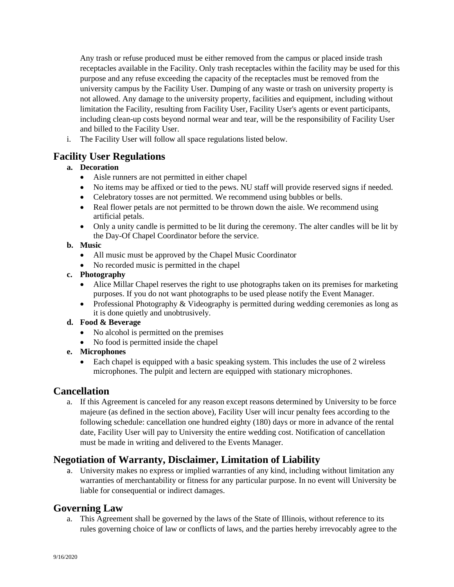Any trash or refuse produced must be either removed from the campus or placed inside trash receptacles available in the Facility. Only trash receptacles within the facility may be used for this purpose and any refuse exceeding the capacity of the receptacles must be removed from the university campus by the Facility User. Dumping of any waste or trash on university property is not allowed. Any damage to the university property, facilities and equipment, including without limitation the Facility, resulting from Facility User, Facility User's agents or event participants, including clean-up costs beyond normal wear and tear, will be the responsibility of Facility User and billed to the Facility User.

i. The Facility User will follow all space regulations listed below.

## **Facility User Regulations**

#### **a. Decoration**

- Aisle runners are not permitted in either chapel
- No items may be affixed or tied to the pews. NU staff will provide reserved signs if needed.
- Celebratory tosses are not permitted. We recommend using bubbles or bells.
- Real flower petals are not permitted to be thrown down the aisle. We recommend using artificial petals.
- Only a unity candle is permitted to be lit during the ceremony. The alter candles will be lit by the Day-Of Chapel Coordinator before the service.

#### **b. Music**

- All music must be approved by the Chapel Music Coordinator
- No recorded music is permitted in the chapel

#### **c. Photography**

- Alice Millar Chapel reserves the right to use photographs taken on its premises for marketing purposes. If you do not want photographs to be used please notify the Event Manager.
- Professional Photography & Videography is permitted during wedding ceremonies as long as it is done quietly and unobtrusively.

#### **d. Food & Beverage**

- No alcohol is permitted on the premises
- No food is permitted inside the chapel

#### **e. Microphones**

• Each chapel is equipped with a basic speaking system. This includes the use of 2 wireless microphones. The pulpit and lectern are equipped with stationary microphones.

## **Cancellation**

a. If this Agreement is canceled for any reason except reasons determined by University to be force majeure (as defined in the section above), Facility User will incur penalty fees according to the following schedule: cancellation one hundred eighty (180) days or more in advance of the rental date, Facility User will pay to University the entire wedding cost. Notification of cancellation must be made in writing and delivered to the Events Manager.

## **Negotiation of Warranty, Disclaimer, Limitation of Liability**

a. University makes no express or implied warranties of any kind, including without limitation any warranties of merchantability or fitness for any particular purpose. In no event will University be liable for consequential or indirect damages.

## **Governing Law**

a. This Agreement shall be governed by the laws of the State of Illinois, without reference to its rules governing choice of law or conflicts of laws, and the parties hereby irrevocably agree to the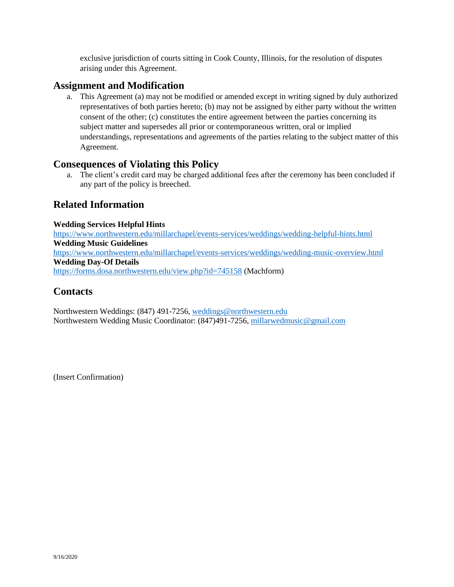exclusive jurisdiction of courts sitting in Cook County, Illinois, for the resolution of disputes arising under this Agreement.

### **Assignment and Modification**

a. This Agreement (a) may not be modified or amended except in writing signed by duly authorized representatives of both parties hereto; (b) may not be assigned by either party without the written consent of the other; (c) constitutes the entire agreement between the parties concerning its subject matter and supersedes all prior or contemporaneous written, oral or implied understandings, representations and agreements of the parties relating to the subject matter of this Agreement.

## **Consequences of Violating this Policy**

a. The client's credit card may be charged additional fees after the ceremony has been concluded if any part of the policy is breeched.

## **Related Information**

#### **Wedding Services Helpful Hints**

<https://www.northwestern.edu/millarchapel/events-services/weddings/wedding-helpful-hints.html> **Wedding Music Guidelines** <https://www.northwestern.edu/millarchapel/events-services/weddings/wedding-music-overview.html> **Wedding Day-Of Details** <https://forms.dosa.northwestern.edu/view.php?id=745158> (Machform)

## **Contacts**

Northwestern Weddings: (847) 491-7256, [weddings@northwestern.edu](mailto:weddings@northwestern.edu) Northwestern Wedding Music Coordinator: (847)491-7256, [millarwedmusic@gmail.com](mailto:millarwedmusic@gmail.com)

(Insert Confirmation)